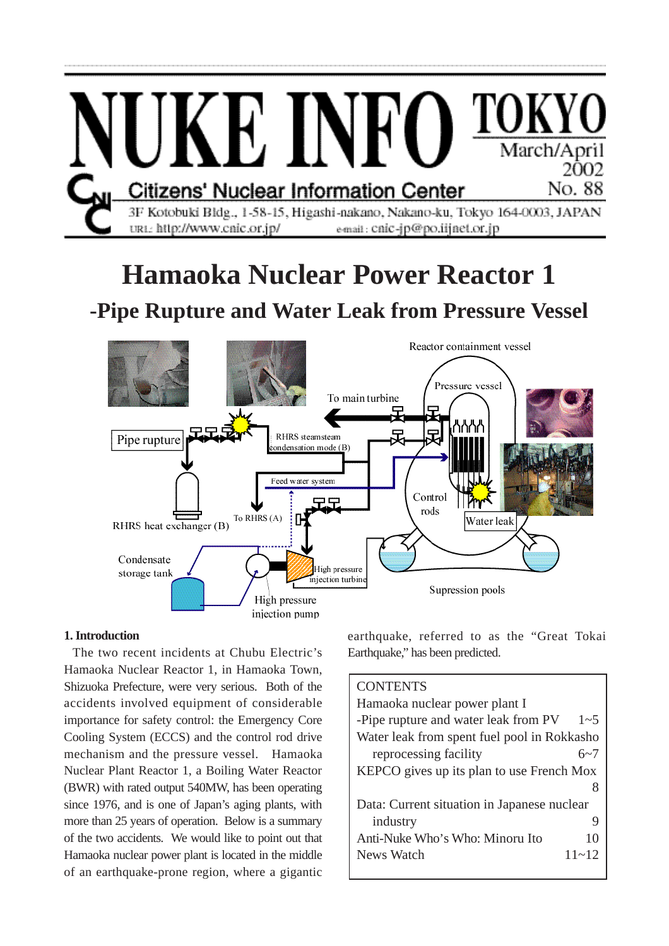

#### **1. Introduction**

The two recent incidents at Chubu Electric's Hamaoka Nuclear Reactor 1, in Hamaoka Town, Shizuoka Prefecture, were very serious. Both of the accidents involved equipment of considerable importance for safety control: the Emergency Core Cooling System (ECCS) and the control rod drive mechanism and the pressure vessel. Hamaoka Nuclear Plant Reactor 1, a Boiling Water Reactor (BWR) with rated output 540MW, has been operating since 1976, and is one of Japan's aging plants, with more than 25 years of operation. Below is a summary of the two accidents. We would like to point out that Hamaoka nuclear power plant is located in the middle of an earthquake-prone region, where a gigantic

earthquake, referred to as the "Great Tokai Earthquake," has been predicted.

# **CONTENTS**

| Hamaoka nuclear power plant I                   |  |  |  |  |
|-------------------------------------------------|--|--|--|--|
| -Pipe rupture and water leak from PV<br>$1 - 5$ |  |  |  |  |
| Water leak from spent fuel pool in Rokkasho     |  |  |  |  |
| reprocessing facility<br>6~7                    |  |  |  |  |
| KEPCO gives up its plan to use French Mox       |  |  |  |  |
|                                                 |  |  |  |  |
| Data: Current situation in Japanese nuclear     |  |  |  |  |
| industry<br>9                                   |  |  |  |  |
| Anti-Nuke Who's Who: Minoru Ito<br>10           |  |  |  |  |
| $11 - 12$<br>News Watch                         |  |  |  |  |
|                                                 |  |  |  |  |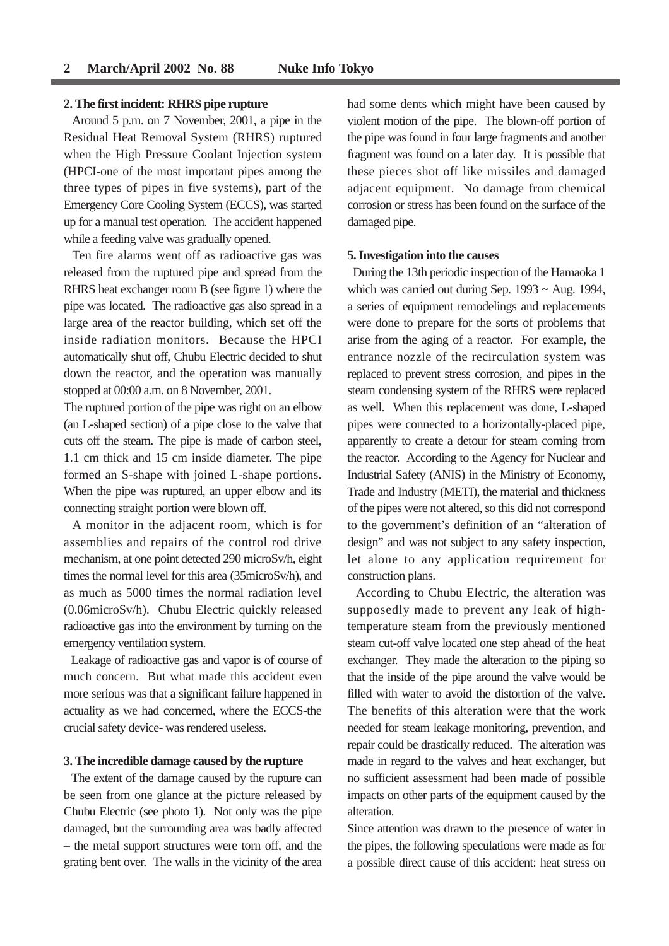#### 2 March/April 2002 No. 88 Nuke Info Tokyo

#### **2. The first incident: RHRS pipe rupture**

Around 5 p.m. on 7 November, 2001, a pipe in the Residual Heat Removal System (RHRS) ruptured when the High Pressure Coolant Injection system (HPCI-one of the most important pipes among the three types of pipes in five systems), part of the Emergency Core Cooling System (ECCS), was started up for a manual test operation. The accident happened while a feeding valve was gradually opened.

Ten fire alarms went off as radioactive gas was released from the ruptured pipe and spread from the RHRS heat exchanger room B (see figure 1) where the pipe was located. The radioactive gas also spread in a large area of the reactor building, which set off the inside radiation monitors. Because the HPCI automatically shut off, Chubu Electric decided to shut down the reactor, and the operation was manually stopped at 00:00 a.m. on 8 November, 2001.

The ruptured portion of the pipe was right on an elbow (an L-shaped section) of a pipe close to the valve that cuts off the steam. The pipe is made of carbon steel, 1.1 cm thick and 15 cm inside diameter. The pipe formed an S-shape with joined L-shape portions. When the pipe was ruptured, an upper elbow and its connecting straight portion were blown off.

A monitor in the adjacent room, which is for assemblies and repairs of the control rod drive mechanism, at one point detected 290 microSv/h, eight times the normal level for this area (35microSv/h), and as much as 5000 times the normal radiation level (0.06microSv/h). Chubu Electric quickly released radioactive gas into the environment by turning on the emergency ventilation system.

Leakage of radioactive gas and vapor is of course of much concern. But what made this accident even more serious was that a significant failure happened in actuality as we had concerned, where the ECCS-the crucial safety device- was rendered useless.

#### **3. The incredible damage caused by the rupture**

The extent of the damage caused by the rupture can be seen from one glance at the picture released by Chubu Electric (see photo 1). Not only was the pipe damaged, but the surrounding area was badly affected – the metal support structures were torn off, and the grating bent over. The walls in the vicinity of the area had some dents which might have been caused by violent motion of the pipe. The blown-off portion of the pipe was found in four large fragments and another fragment was found on a later day. It is possible that these pieces shot off like missiles and damaged adjacent equipment. No damage from chemical corrosion or stress has been found on the surface of the damaged pipe.

#### **5. Investigation into the causes**

During the 13th periodic inspection of the Hamaoka 1 which was carried out during Sep.  $1993 \sim$  Aug. 1994, a series of equipment remodelings and replacements were done to prepare for the sorts of problems that arise from the aging of a reactor. For example, the entrance nozzle of the recirculation system was replaced to prevent stress corrosion, and pipes in the steam condensing system of the RHRS were replaced as well. When this replacement was done, L-shaped pipes were connected to a horizontally-placed pipe, apparently to create a detour for steam coming from the reactor. According to the Agency for Nuclear and Industrial Safety (ANIS) in the Ministry of Economy, Trade and Industry (METI), the material and thickness of the pipes were not altered, so this did not correspond to the government's definition of an "alteration of design" and was not subject to any safety inspection, let alone to any application requirement for construction plans.

According to Chubu Electric, the alteration was supposedly made to prevent any leak of hightemperature steam from the previously mentioned steam cut-off valve located one step ahead of the heat exchanger. They made the alteration to the piping so that the inside of the pipe around the valve would be filled with water to avoid the distortion of the valve. The benefits of this alteration were that the work needed for steam leakage monitoring, prevention, and repair could be drastically reduced. The alteration was made in regard to the valves and heat exchanger, but no sufficient assessment had been made of possible impacts on other parts of the equipment caused by the alteration.

Since attention was drawn to the presence of water in the pipes, the following speculations were made as for a possible direct cause of this accident: heat stress on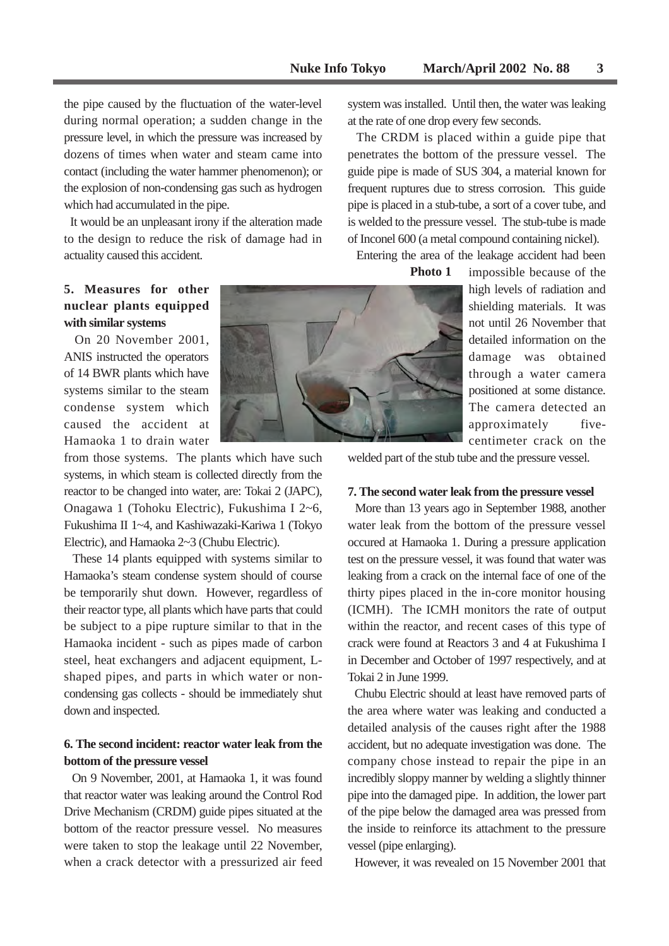the pipe caused by the fluctuation of the water-level during normal operation; a sudden change in the pressure level, in which the pressure was increased by dozens of times when water and steam came into contact (including the water hammer phenomenon); or the explosion of non-condensing gas such as hydrogen which had accumulated in the pipe.

It would be an unpleasant irony if the alteration made to the design to reduce the risk of damage had in actuality caused this accident.

**5. Measures for other nuclear plants equipped with similar systems**

On 20 November 2001, ANIS instructed the operators of 14 BWR plants which have systems similar to the steam condense system which caused the accident at Hamaoka 1 to drain water

from those systems. The plants which have such systems, in which steam is collected directly from the reactor to be changed into water, are: Tokai 2 (JAPC), Onagawa 1 (Tohoku Electric), Fukushima I 2~6, Fukushima II 1~4, and Kashiwazaki-Kariwa 1 (Tokyo Electric), and Hamaoka 2~3 (Chubu Electric).

These 14 plants equipped with systems similar to Hamaoka's steam condense system should of course be temporarily shut down. However, regardless of their reactor type, all plants which have parts that could be subject to a pipe rupture similar to that in the Hamaoka incident - such as pipes made of carbon steel, heat exchangers and adjacent equipment, Lshaped pipes, and parts in which water or noncondensing gas collects - should be immediately shut down and inspected.

## **6. The second incident: reactor water leak from the bottom of the pressure vessel**

On 9 November, 2001, at Hamaoka 1, it was found that reactor water was leaking around the Control Rod Drive Mechanism (CRDM) guide pipes situated at the bottom of the reactor pressure vessel. No measures were taken to stop the leakage until 22 November, when a crack detector with a pressurized air feed



system was installed. Until then, the water was leaking at the rate of one drop every few seconds.

The CRDM is placed within a guide pipe that penetrates the bottom of the pressure vessel. The guide pipe is made of SUS 304, a material known for frequent ruptures due to stress corrosion. This guide pipe is placed in a stub-tube, a sort of a cover tube, and is welded to the pressure vessel. The stub-tube is made of Inconel 600 (a metal compound containing nickel).

Entering the area of the leakage accident had been

**Photo 1**

impossible because of the high levels of radiation and shielding materials. It was not until 26 November that detailed information on the damage was obtained through a water camera positioned at some distance. The camera detected an approximately fivecentimeter crack on the

welded part of the stub tube and the pressure vessel.

#### **7. The second water leak from the pressure vessel**

More than 13 years ago in September 1988, another water leak from the bottom of the pressure vessel occured at Hamaoka 1. During a pressure application test on the pressure vessel, it was found that water was leaking from a crack on the internal face of one of the thirty pipes placed in the in-core monitor housing (ICMH). The ICMH monitors the rate of output within the reactor, and recent cases of this type of crack were found at Reactors 3 and 4 at Fukushima I in December and October of 1997 respectively, and at Tokai 2 in June 1999.

Chubu Electric should at least have removed parts of the area where water was leaking and conducted a detailed analysis of the causes right after the 1988 accident, but no adequate investigation was done. The company chose instead to repair the pipe in an incredibly sloppy manner by welding a slightly thinner pipe into the damaged pipe. In addition, the lower part of the pipe below the damaged area was pressed from the inside to reinforce its attachment to the pressure vessel (pipe enlarging).

However, it was revealed on 15 November 2001 that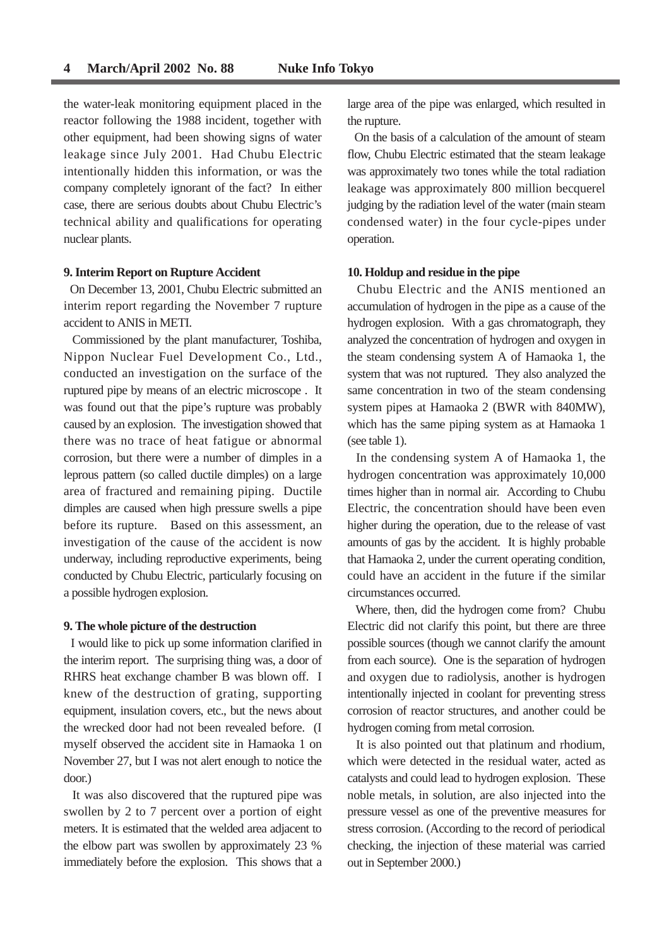the water-leak monitoring equipment placed in the reactor following the 1988 incident, together with other equipment, had been showing signs of water leakage since July 2001. Had Chubu Electric intentionally hidden this information, or was the company completely ignorant of the fact? In either case, there are serious doubts about Chubu Electric's technical ability and qualifications for operating nuclear plants.

#### **9. Interim Report on Rupture Accident**

On December 13, 2001, Chubu Electric submitted an interim report regarding the November 7 rupture accident to ANIS in METI.

Commissioned by the plant manufacturer, Toshiba, Nippon Nuclear Fuel Development Co., Ltd., conducted an investigation on the surface of the ruptured pipe by means of an electric microscope . It was found out that the pipe's rupture was probably caused by an explosion. The investigation showed that there was no trace of heat fatigue or abnormal corrosion, but there were a number of dimples in a leprous pattern (so called ductile dimples) on a large area of fractured and remaining piping. Ductile dimples are caused when high pressure swells a pipe before its rupture. Based on this assessment, an investigation of the cause of the accident is now underway, including reproductive experiments, being conducted by Chubu Electric, particularly focusing on a possible hydrogen explosion.

#### **9. The whole picture of the destruction**

I would like to pick up some information clarified in the interim report. The surprising thing was, a door of RHRS heat exchange chamber B was blown off. I knew of the destruction of grating, supporting equipment, insulation covers, etc., but the news about the wrecked door had not been revealed before. (I myself observed the accident site in Hamaoka 1 on November 27, but I was not alert enough to notice the door.)

It was also discovered that the ruptured pipe was swollen by 2 to 7 percent over a portion of eight meters. It is estimated that the welded area adjacent to the elbow part was swollen by approximately 23 % immediately before the explosion. This shows that a large area of the pipe was enlarged, which resulted in the rupture.

On the basis of a calculation of the amount of steam flow, Chubu Electric estimated that the steam leakage was approximately two tones while the total radiation leakage was approximately 800 million becquerel judging by the radiation level of the water (main steam condensed water) in the four cycle-pipes under operation.

#### **10. Holdup and residue in the pipe**

Chubu Electric and the ANIS mentioned an accumulation of hydrogen in the pipe as a cause of the hydrogen explosion. With a gas chromatograph, they analyzed the concentration of hydrogen and oxygen in the steam condensing system A of Hamaoka 1, the system that was not ruptured. They also analyzed the same concentration in two of the steam condensing system pipes at Hamaoka 2 (BWR with 840MW), which has the same piping system as at Hamaoka 1 (see table 1).

In the condensing system A of Hamaoka 1, the hydrogen concentration was approximately 10,000 times higher than in normal air. According to Chubu Electric, the concentration should have been even higher during the operation, due to the release of vast amounts of gas by the accident. It is highly probable that Hamaoka 2, under the current operating condition, could have an accident in the future if the similar circumstances occurred.

Where, then, did the hydrogen come from? Chubu Electric did not clarify this point, but there are three possible sources (though we cannot clarify the amount from each source). One is the separation of hydrogen and oxygen due to radiolysis, another is hydrogen intentionally injected in coolant for preventing stress corrosion of reactor structures, and another could be hydrogen coming from metal corrosion.

It is also pointed out that platinum and rhodium, which were detected in the residual water, acted as catalysts and could lead to hydrogen explosion. These noble metals, in solution, are also injected into the pressure vessel as one of the preventive measures for stress corrosion. (According to the record of periodical checking, the injection of these material was carried out in September 2000.)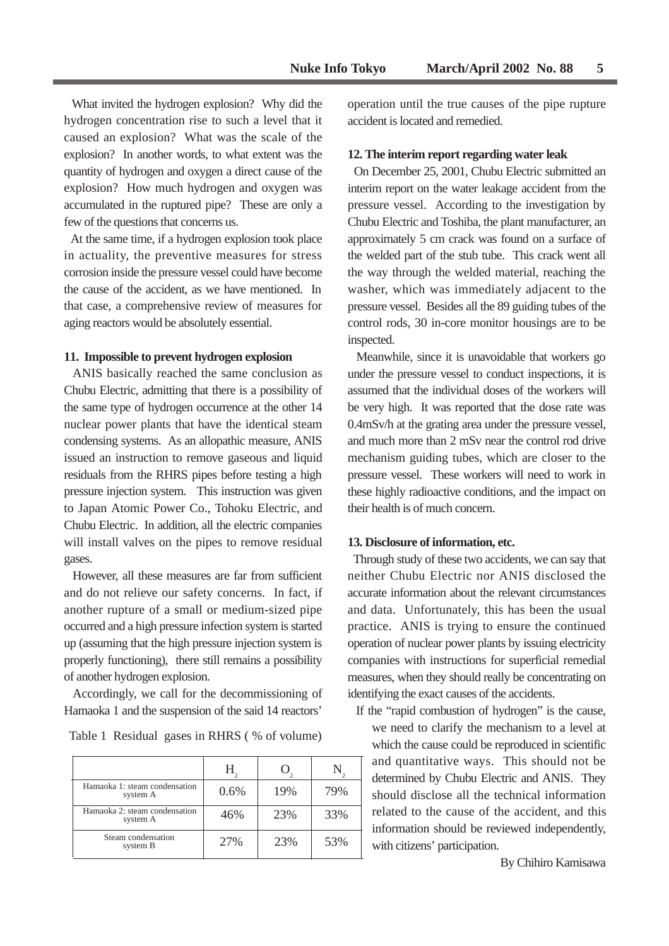What invited the hydrogen explosion? Why did the hydrogen concentration rise to such a level that it caused an explosion? What was the scale of the explosion? In another words, to what extent was the quantity of hydrogen and oxygen a direct cause of the explosion? How much hydrogen and oxygen was accumulated in the ruptured pipe? These are only a few of the questions that concerns us.

At the same time, if a hydrogen explosion took place in actuality, the preventive measures for stress corrosion inside the pressure vessel could have become the cause of the accident, as we have mentioned. In that case, a comprehensive review of measures for aging reactors would be absolutely essential.

#### **11. Impossible to prevent hydrogen explosion**

ANIS basically reached the same conclusion as Chubu Electric, admitting that there is a possibility of the same type of hydrogen occurrence at the other 14 nuclear power plants that have the identical steam condensing systems. As an allopathic measure, ANIS issued an instruction to remove gaseous and liquid residuals from the RHRS pipes before testing a high pressure injection system. This instruction was given to Japan Atomic Power Co., Tohoku Electric, and Chubu Electric. In addition, all the electric companies will install valves on the pipes to remove residual gases.

However, all these measures are far from sufficient and do not relieve our safety concerns. In fact, if another rupture of a small or medium-sized pipe occurred and a high pressure infection system is started up (assuming that the high pressure injection system is properly functioning), there still remains a possibility of another hydrogen explosion.

Accordingly, we call for the decommissioning of Hamaoka 1 and the suspension of the said 14 reactors'

Table 1 Residual gases in RHRS ( % of volume)

| Hamaoka 1: steam condensation<br>system A | 0.6% | 19% | 79% |
|-------------------------------------------|------|-----|-----|
| Hamaoka 2: steam condensation<br>system A | 46%  | 23% | 33% |
| Steam condensation<br>system B            | 27%  | 23% | 53% |

operation until the true causes of the pipe rupture accident is located and remedied.

#### **12. The interim report regarding water leak**

On December 25, 2001, Chubu Electric submitted an interim report on the water leakage accident from the pressure vessel. According to the investigation by Chubu Electric and Toshiba, the plant manufacturer, an approximately 5 cm crack was found on a surface of the welded part of the stub tube. This crack went all the way through the welded material, reaching the washer, which was immediately adjacent to the pressure vessel. Besides all the 89 guiding tubes of the control rods, 30 in-core monitor housings are to be inspected.

Meanwhile, since it is unavoidable that workers go under the pressure vessel to conduct inspections, it is assumed that the individual doses of the workers will be very high. It was reported that the dose rate was 0.4mSv/h at the grating area under the pressure vessel, and much more than 2 mSv near the control rod drive mechanism guiding tubes, which are closer to the pressure vessel. These workers will need to work in these highly radioactive conditions, and the impact on their health is of much concern.

#### **13. Disclosure of information, etc.**

Through study of these two accidents, we can say that neither Chubu Electric nor ANIS disclosed the accurate information about the relevant circumstances and data. Unfortunately, this has been the usual practice. ANIS is trying to ensure the continued operation of nuclear power plants by issuing electricity companies with instructions for superficial remedial measures, when they should really be concentrating on identifying the exact causes of the accidents.

If the "rapid combustion of hydrogen" is the cause, we need to clarify the mechanism to a level at which the cause could be reproduced in scientific and quantitative ways. This should not be determined by Chubu Electric and ANIS. They should disclose all the technical information related to the cause of the accident, and this information should be reviewed independently, with citizens' participation.

By Chihiro Kamisawa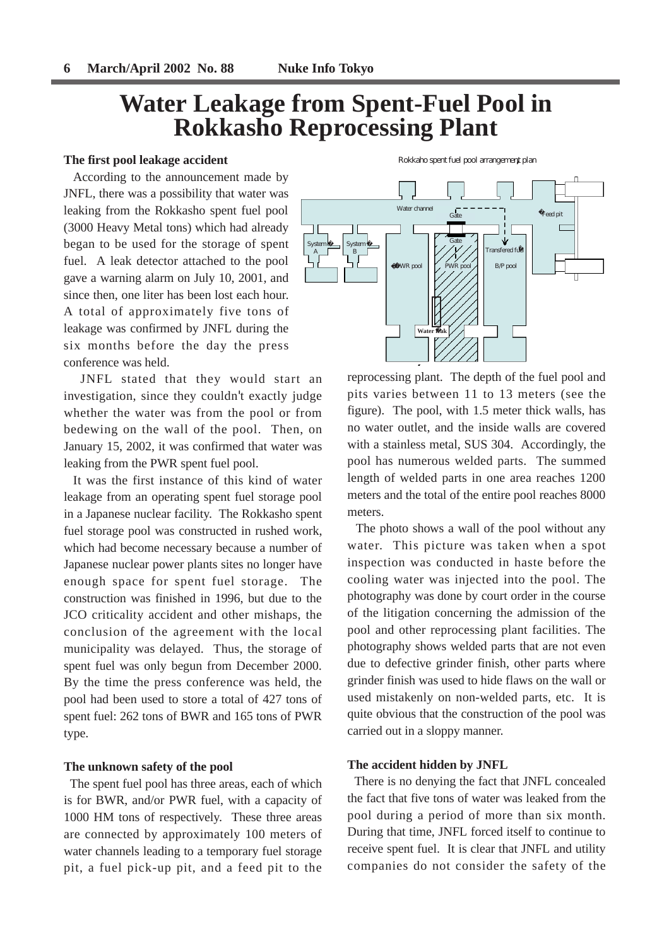# **Water Leakage from Spent-Fuel Pool in Rokkasho Reprocessing Plant**

#### **The first pool leakage accident**

According to the announcement made by JNFL, there was a possibility that water was leaking from the Rokkasho spent fuel pool (3000 Heavy Metal tons) which had already began to be used for the storage of spent fuel. A leak detector attached to the pool gave a warning alarm on July 10, 2001, and since then, one liter has been lost each hour. A total of approximately five tons of leakage was confirmed by JNFL during the six months before the day the press conference was held.

JNFL stated that they would start an investigation, since they couldn't exactly judge whether the water was from the pool or from bedewing on the wall of the pool. Then, on January 15, 2002, it was confirmed that water was leaking from the PWR spent fuel pool.

It was the first instance of this kind of water leakage from an operating spent fuel storage pool in a Japanese nuclear facility. The Rokkasho spent fuel storage pool was constructed in rushed work, which had become necessary because a number of Japanese nuclear power plants sites no longer have enough space for spent fuel storage. The construction was finished in 1996, but due to the JCO criticality accident and other mishaps, the conclusion of the agreement with the local municipality was delayed. Thus, the storage of spent fuel was only begun from December 2000. By the time the press conference was held, the pool had been used to store a total of 427 tons of spent fuel: 262 tons of BWR and 165 tons of PWR type.

#### **The unknown safety of the pool**

The spent fuel pool has three areas, each of which is for BWR, and/or PWR fuel, with a capacity of 1000 HM tons of respectively. These three areas are connected by approximately 100 meters of water channels leading to a temporary fuel storage pit, a fuel pick-up pit, and a feed pit to the

B/P pool Transfered fuel PWR pool **Water** BWR pool  $Ga<sup>+</sup>$ Gate Water channel  $\overline{a}$  = = = = =  $-\overline{a}$  Feed pit SystemL A System � B

Rokkaho spent fuel pool arrangement plan

reprocessing plant. The depth of the fuel pool and pits varies between 11 to 13 meters (see the figure). The pool, with 1.5 meter thick walls, has no water outlet, and the inside walls are covered with a stainless metal, SUS 304. Accordingly, the pool has numerous welded parts. The summed length of welded parts in one area reaches 1200 meters and the total of the entire pool reaches 8000 meters.

The photo shows a wall of the pool without any water. This picture was taken when a spot inspection was conducted in haste before the cooling water was injected into the pool. The photography was done by court order in the course of the litigation concerning the admission of the pool and other reprocessing plant facilities. The photography shows welded parts that are not even due to defective grinder finish, other parts where grinder finish was used to hide flaws on the wall or used mistakenly on non-welded parts, etc. It is quite obvious that the construction of the pool was carried out in a sloppy manner.

#### **The accident hidden by JNFL**

There is no denying the fact that JNFL concealed the fact that five tons of water was leaked from the pool during a period of more than six month. During that time, JNFL forced itself to continue to receive spent fuel. It is clear that JNFL and utility companies do not consider the safety of the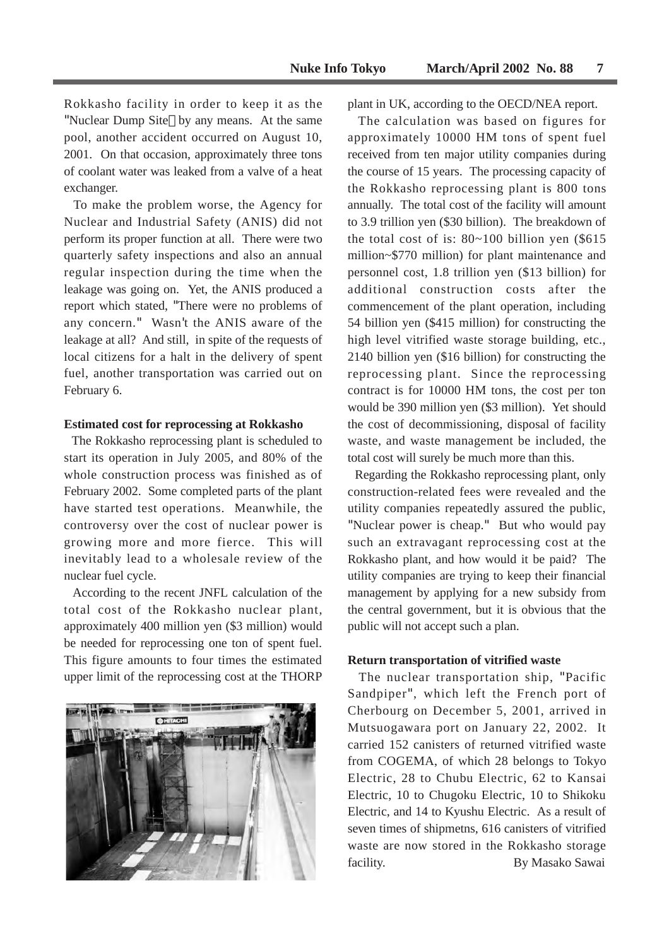Rokkasho facility in order to keep it as the "Nuclear Dump Site by any means. At the same pool, another accident occurred on August 10, 2001. On that occasion, approximately three tons of coolant water was leaked from a valve of a heat exchanger.

To make the problem worse, the Agency for Nuclear and Industrial Safety (ANIS) did not perform its proper function at all. There were two quarterly safety inspections and also an annual regular inspection during the time when the leakage was going on. Yet, the ANIS produced a report which stated, "There were no problems of any concern." Wasn't the ANIS aware of the leakage at all? And still, in spite of the requests of local citizens for a halt in the delivery of spent fuel, another transportation was carried out on February 6.

#### **Estimated cost for reprocessing at Rokkasho**

The Rokkasho reprocessing plant is scheduled to start its operation in July 2005, and 80% of the whole construction process was finished as of February 2002. Some completed parts of the plant have started test operations. Meanwhile, the controversy over the cost of nuclear power is growing more and more fierce. This will inevitably lead to a wholesale review of the nuclear fuel cycle.

According to the recent JNFL calculation of the total cost of the Rokkasho nuclear plant, approximately 400 million yen (\$3 million) would be needed for reprocessing one ton of spent fuel. This figure amounts to four times the estimated upper limit of the reprocessing cost at the THORP



plant in UK, according to the OECD/NEA report.

The calculation was based on figures for approximately 10000 HM tons of spent fuel received from ten major utility companies during the course of 15 years. The processing capacity of the Rokkasho reprocessing plant is 800 tons annually. The total cost of the facility will amount to 3.9 trillion yen (\$30 billion). The breakdown of the total cost of is:  $80~100$  billion yen (\$615) million~\$770 million) for plant maintenance and personnel cost, 1.8 trillion yen (\$13 billion) for additional construction costs after the commencement of the plant operation, including 54 billion yen (\$415 million) for constructing the high level vitrified waste storage building, etc., 2140 billion yen (\$16 billion) for constructing the reprocessing plant. Since the reprocessing contract is for 10000 HM tons, the cost per ton would be 390 million yen (\$3 million). Yet should the cost of decommissioning, disposal of facility waste, and waste management be included, the total cost will surely be much more than this.

Regarding the Rokkasho reprocessing plant, only construction-related fees were revealed and the utility companies repeatedly assured the public, "Nuclear power is cheap." But who would pay such an extravagant reprocessing cost at the Rokkasho plant, and how would it be paid? The utility companies are trying to keep their financial management by applying for a new subsidy from the central government, but it is obvious that the public will not accept such a plan.

#### **Return transportation of vitrified waste**

The nuclear transportation ship, "Pacific Sandpiper", which left the French port of Cherbourg on December 5, 2001, arrived in Mutsuogawara port on January 22, 2002. It carried 152 canisters of returned vitrified waste from COGEMA, of which 28 belongs to Tokyo Electric, 28 to Chubu Electric, 62 to Kansai Electric, 10 to Chugoku Electric, 10 to Shikoku Electric, and 14 to Kyushu Electric. As a result of seven times of shipmetns, 616 canisters of vitrified waste are now stored in the Rokkasho storage facility. By Masako Sawai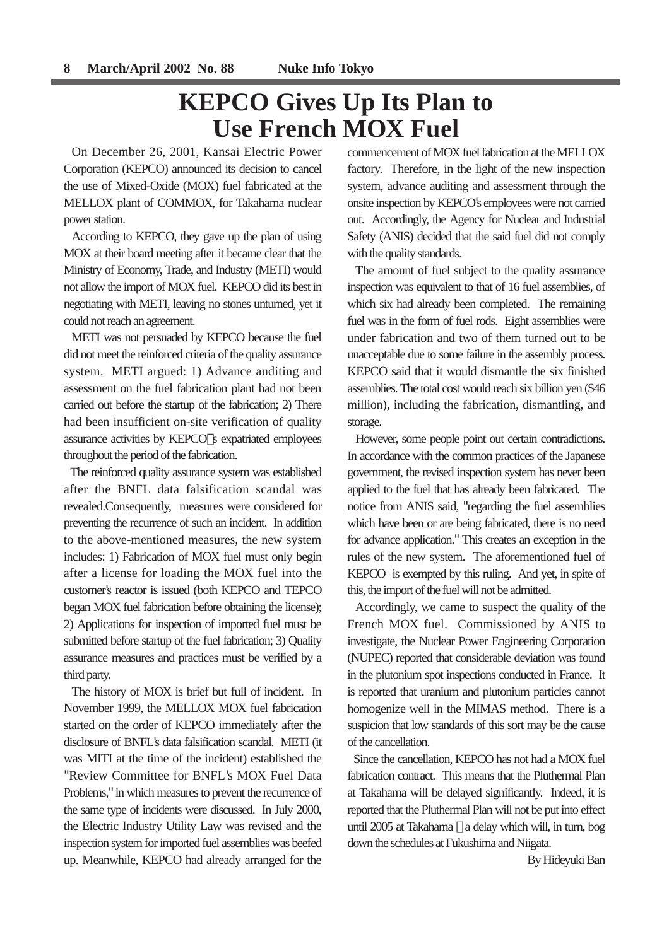# **KEPCO Gives Up Its Plan to Use French MOX Fuel**

On December 26, 2001, Kansai Electric Power Corporation (KEPCO) announced its decision to cancel the use of Mixed-Oxide (MOX) fuel fabricated at the MELLOX plant of COMMOX, for Takahama nuclear power station.

According to KEPCO, they gave up the plan of using MOX at their board meeting after it became clear that the Ministry of Economy, Trade, and Industry (METI) would not allow the import of MOX fuel. KEPCO did its best in negotiating with METI, leaving no stones unturned, yet it could not reach an agreement.

METI was not persuaded by KEPCO because the fuel did not meet the reinforced criteria of the quality assurance system. METI argued: 1) Advance auditing and assessment on the fuel fabrication plant had not been carried out before the startup of the fabrication; 2) There had been insufficient on-site verification of quality assurance activities by KEPCO s expatriated employees throughout the period of the fabrication.

The reinforced quality assurance system was established after the BNFL data falsification scandal was revealed.Consequently, measures were considered for preventing the recurrence of such an incident. In addition to the above-mentioned measures, the new system includes: 1) Fabrication of MOX fuel must only begin after a license for loading the MOX fuel into the customer's reactor is issued (both KEPCO and TEPCO began MOX fuel fabrication before obtaining the license); 2) Applications for inspection of imported fuel must be submitted before startup of the fuel fabrication; 3) Quality assurance measures and practices must be verified by a third party.

The history of MOX is brief but full of incident. In November 1999, the MELLOX MOX fuel fabrication started on the order of KEPCO immediately after the disclosure of BNFL's data falsification scandal. METI (it was MITI at the time of the incident) established the "Review Committee for BNFL's MOX Fuel Data Problems," in which measures to prevent the recurrence of the same type of incidents were discussed. In July 2000, the Electric Industry Utility Law was revised and the inspection system for imported fuel assemblies was beefed up. Meanwhile, KEPCO had already arranged for the commencement of MOX fuel fabrication at the MELLOX factory. Therefore, in the light of the new inspection system, advance auditing and assessment through the onsite inspection by KEPCO's employees were not carried out. Accordingly, the Agency for Nuclear and Industrial Safety (ANIS) decided that the said fuel did not comply with the quality standards.

The amount of fuel subject to the quality assurance inspection was equivalent to that of 16 fuel assemblies, of which six had already been completed. The remaining fuel was in the form of fuel rods. Eight assemblies were under fabrication and two of them turned out to be unacceptable due to some failure in the assembly process. KEPCO said that it would dismantle the six finished assemblies. The total cost would reach six billion yen (\$46 million), including the fabrication, dismantling, and storage.

However, some people point out certain contradictions. In accordance with the common practices of the Japanese government, the revised inspection system has never been applied to the fuel that has already been fabricated. The notice from ANIS said, "regarding the fuel assemblies which have been or are being fabricated, there is no need for advance application." This creates an exception in the rules of the new system. The aforementioned fuel of KEPCO is exempted by this ruling. And yet, in spite of this, the import of the fuel will not be admitted.

Accordingly, we came to suspect the quality of the French MOX fuel. Commissioned by ANIS to investigate, the Nuclear Power Engineering Corporation (NUPEC) reported that considerable deviation was found in the plutonium spot inspections conducted in France. It is reported that uranium and plutonium particles cannot homogenize well in the MIMAS method. There is a suspicion that low standards of this sort may be the cause of the cancellation.

Since the cancellation, KEPCO has not had a MOX fuel fabrication contract. This means that the Pluthermal Plan at Takahama will be delayed significantly. Indeed, it is reported that the Pluthermal Plan will not be put into effect until 2005 at Takahama a delay which will, in turn, bog down the schedules at Fukushima and Niigata.

By Hideyuki Ban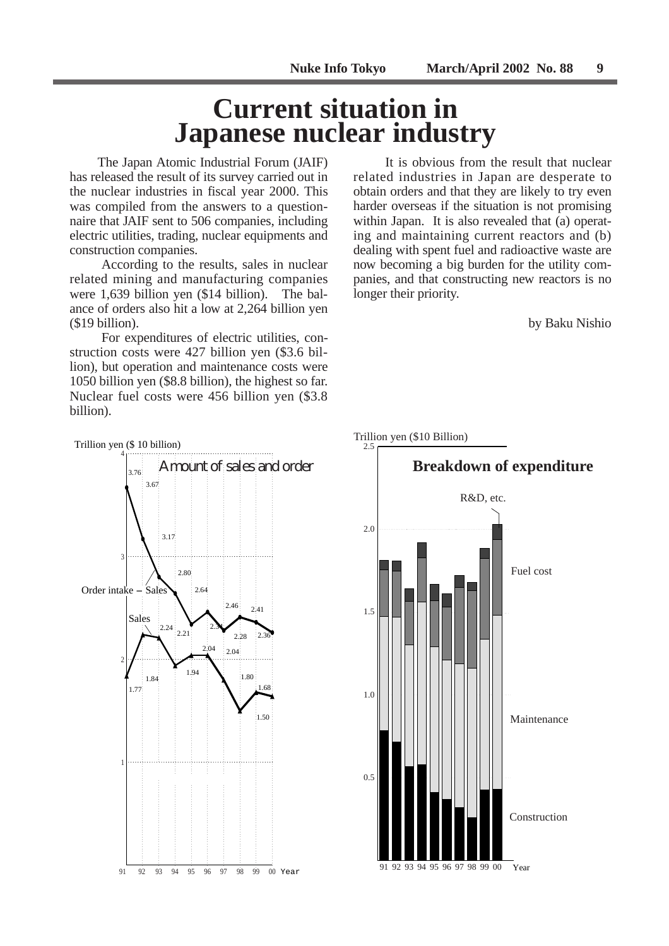# **Current situation in Japanese nuclear industry**

The Japan Atomic Industrial Forum (JAIF) has released the result of its survey carried out in the nuclear industries in fiscal year 2000. This was compiled from the answers to a questionnaire that JAIF sent to 506 companies, including electric utilities, trading, nuclear equipments and construction companies.

According to the results, sales in nuclear related mining and manufacturing companies were 1,639 billion yen (\$14 billion). The balance of orders also hit a low at 2,264 billion yen (\$19 billion).

For expenditures of electric utilities, construction costs were 427 billion yen (\$3.6 billion), but operation and maintenance costs were 1050 billion yen (\$8.8 billion), the highest so far. Nuclear fuel costs were 456 billion yen (\$3.8 billion).

It is obvious from the result that nuclear related industries in Japan are desperate to obtain orders and that they are likely to try even harder overseas if the situation is not promising within Japan. It is also revealed that (a) operating and maintaining current reactors and (b) dealing with spent fuel and radioactive waste are now becoming a big burden for the utility companies, and that constructing new reactors is no longer their priority.

by Baku Nishio



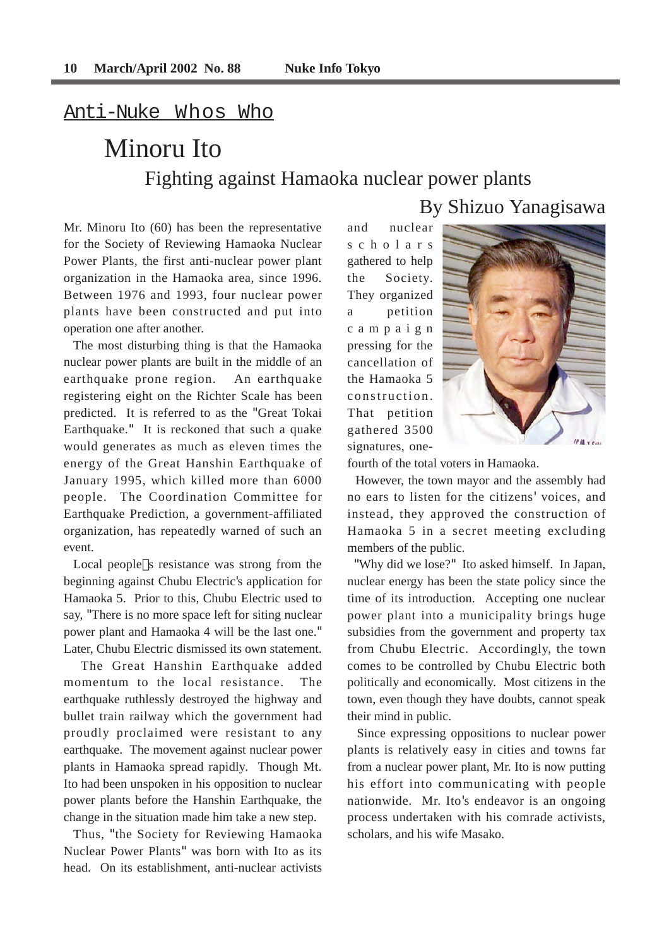# Anti-Nuke Whos Who

# Minoru Ito Fighting against Hamaoka nuclear power plants

Mr. Minoru Ito (60) has been the representative for the Society of Reviewing Hamaoka Nuclear Power Plants, the first anti-nuclear power plant organization in the Hamaoka area, since 1996. Between 1976 and 1993, four nuclear power plants have been constructed and put into operation one after another.

The most disturbing thing is that the Hamaoka nuclear power plants are built in the middle of an earthquake prone region. An earthquake registering eight on the Richter Scale has been predicted. It is referred to as the "Great Tokai Earthquake." It is reckoned that such a quake would generates as much as eleven times the energy of the Great Hanshin Earthquake of January 1995, which killed more than 6000 people. The Coordination Committee for Earthquake Prediction, a government-affiliated organization, has repeatedly warned of such an event.

Local people s resistance was strong from the beginning against Chubu Electric's application for Hamaoka 5. Prior to this, Chubu Electric used to say, "There is no more space left for siting nuclear power plant and Hamaoka 4 will be the last one." Later, Chubu Electric dismissed its own statement.

The Great Hanshin Earthquake added momentum to the local resistance. The earthquake ruthlessly destroyed the highway and bullet train railway which the government had proudly proclaimed were resistant to any earthquake. The movement against nuclear power plants in Hamaoka spread rapidly. Though Mt. Ito had been unspoken in his opposition to nuclear power plants before the Hanshin Earthquake, the change in the situation made him take a new step.

Thus, "the Society for Reviewing Hamaoka Nuclear Power Plants" was born with Ito as its head. On its establishment, anti-nuclear activists and nuclear scholars gathered to help the Society. They organized a petition campaign pressing for the cancellation of the Hamaoka 5 construction. That petition gathered 3500 signatures, one-



By Shizuo Yanagisawa

fourth of the total voters in Hamaoka.

However, the town mayor and the assembly had no ears to listen for the citizens' voices, and instead, they approved the construction of Hamaoka 5 in a secret meeting excluding members of the public.

"Why did we lose?" Ito asked himself. In Japan, nuclear energy has been the state policy since the time of its introduction. Accepting one nuclear power plant into a municipality brings huge subsidies from the government and property tax from Chubu Electric. Accordingly, the town comes to be controlled by Chubu Electric both politically and economically. Most citizens in the town, even though they have doubts, cannot speak their mind in public.

Since expressing oppositions to nuclear power plants is relatively easy in cities and towns far from a nuclear power plant, Mr. Ito is now putting his effort into communicating with people nationwide. Mr. Ito's endeavor is an ongoing process undertaken with his comrade activists, scholars, and his wife Masako.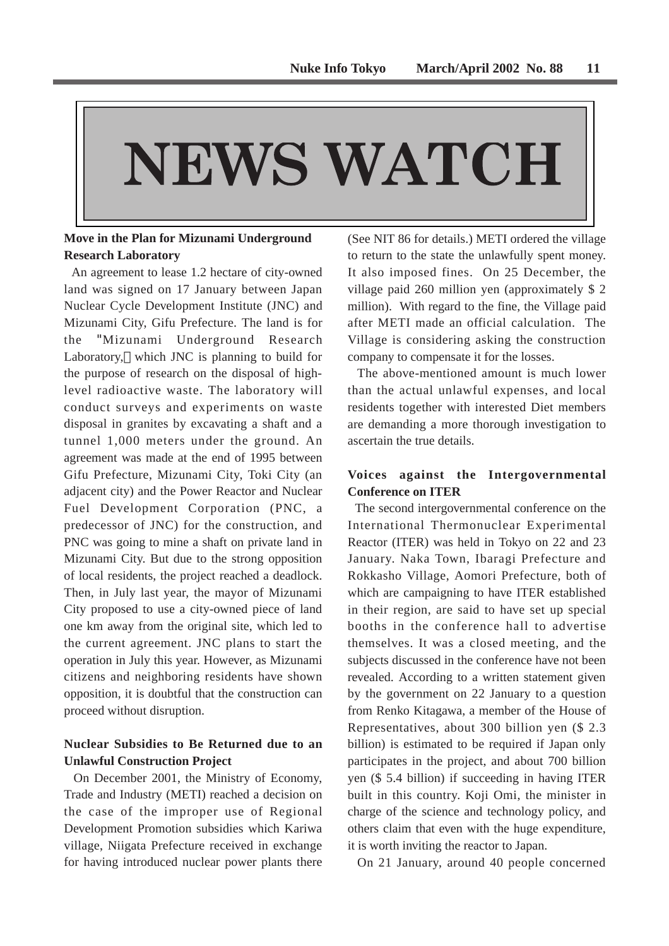# NEWS WATCH

## **Move in the Plan for Mizunami Underground Research Laboratory**

An agreement to lease 1.2 hectare of city-owned land was signed on 17 January between Japan Nuclear Cycle Development Institute (JNC) and Mizunami City, Gifu Prefecture. The land is for the "Mizunami Underground Research Laboratory, which JNC is planning to build for the purpose of research on the disposal of highlevel radioactive waste. The laboratory will conduct surveys and experiments on waste disposal in granites by excavating a shaft and a tunnel 1,000 meters under the ground. An agreement was made at the end of 1995 between Gifu Prefecture, Mizunami City, Toki City (an adjacent city) and the Power Reactor and Nuclear Fuel Development Corporation (PNC, a predecessor of JNC) for the construction, and PNC was going to mine a shaft on private land in Mizunami City. But due to the strong opposition of local residents, the project reached a deadlock. Then, in July last year, the mayor of Mizunami City proposed to use a city-owned piece of land one km away from the original site, which led to the current agreement. JNC plans to start the operation in July this year. However, as Mizunami citizens and neighboring residents have shown opposition, it is doubtful that the construction can proceed without disruption.

## **Nuclear Subsidies to Be Returned due to an Unlawful Construction Project**

On December 2001, the Ministry of Economy, Trade and Industry (METI) reached a decision on the case of the improper use of Regional Development Promotion subsidies which Kariwa village, Niigata Prefecture received in exchange for having introduced nuclear power plants there (See NIT 86 for details.) METI ordered the village to return to the state the unlawfully spent money. It also imposed fines. On 25 December, the village paid 260 million yen (approximately \$ 2 million). With regard to the fine, the Village paid after METI made an official calculation. The Village is considering asking the construction company to compensate it for the losses.

The above-mentioned amount is much lower than the actual unlawful expenses, and local residents together with interested Diet members are demanding a more thorough investigation to ascertain the true details.

## **Voices against the Intergovernmental Conference on ITER**

The second intergovernmental conference on the International Thermonuclear Experimental Reactor (ITER) was held in Tokyo on 22 and 23 January. Naka Town, Ibaragi Prefecture and Rokkasho Village, Aomori Prefecture, both of which are campaigning to have ITER established in their region, are said to have set up special booths in the conference hall to advertise themselves. It was a closed meeting, and the subjects discussed in the conference have not been revealed. According to a written statement given by the government on 22 January to a question from Renko Kitagawa, a member of the House of Representatives, about 300 billion yen (\$ 2.3 billion) is estimated to be required if Japan only participates in the project, and about 700 billion yen (\$ 5.4 billion) if succeeding in having ITER built in this country. Koji Omi, the minister in charge of the science and technology policy, and others claim that even with the huge expenditure, it is worth inviting the reactor to Japan.

On 21 January, around 40 people concerned